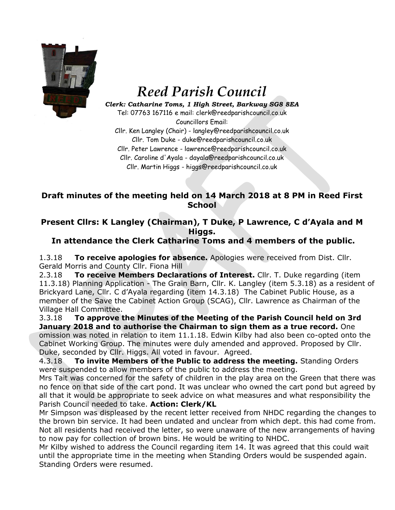

# *Reed Parish Council*

*Clerk: Catharine Toms, 1 High Street, Barkway SG8 8EA* Tel: 07763 167116 e mail: clerk@reedparishcouncil.co.uk

Councillors Email: Cllr. Ken Langley (Chair) - langley@reedparishcouncil.co.uk Cllr. Tom Duke - duke@reedparishcouncil.co.uk Cllr. Peter Lawrence - lawrence@reedparishcouncil.co.uk Cllr. Caroline d'Ayala - dayala@reedparishcouncil.co.uk Cllr. Martin Higgs - higgs@reedparishcouncil.co.uk

#### **Draft minutes of the meeting held on 14 March 2018 at 8 PM in Reed First School**

## **Present Cllrs: K Langley (Chairman), T Duke, P Lawrence, C d'Ayala and M Higgs.**

## **In attendance the Clerk Catharine Toms and 4 members of the public.**

1.3.18 **To receive apologies for absence.** Apologies were received from Dist. Cllr. Gerald Morris and County Cllr. Fiona Hill

2.3.18 **To receive Members Declarations of Interest.** Cllr. T. Duke regarding (item 11.3.18) Planning Application - The Grain Barn, Cllr. K. Langley (item 5.3.18) as a resident of Brickyard Lane, Cllr. C d'Ayala regarding (item 14.3.18) The Cabinet Public House, as a member of the Save the Cabinet Action Group (SCAG), Cllr. Lawrence as Chairman of the Village Hall Committee.

3.3.18 **To approve the Minutes of the Meeting of the Parish Council held on 3rd January 2018 and to authorise the Chairman to sign them as a true record.** One omission was noted in relation to item 11.1.18. Edwin Kilby had also been co-opted onto the Cabinet Working Group. The minutes were duly amended and approved. Proposed by Cllr. Duke, seconded by Cllr. Higgs. All voted in favour. Agreed.

4.3.18 **To invite Members of the Public to address the meeting.** Standing Orders were suspended to allow members of the public to address the meeting.

Mrs Tait was concerned for the safety of children in the play area on the Green that there was no fence on that side of the cart pond. It was unclear who owned the cart pond but agreed by all that it would be appropriate to seek advice on what measures and what responsibility the Parish Council needed to take. **Action: Clerk/KL**

Mr Simpson was displeased by the recent letter received from NHDC regarding the changes to the brown bin service. It had been undated and unclear from which dept. this had come from. Not all residents had received the letter, so were unaware of the new arrangements of having to now pay for collection of brown bins. He would be writing to NHDC.

Mr Kilby wished to address the Council regarding item 14. It was agreed that this could wait until the appropriate time in the meeting when Standing Orders would be suspended again. Standing Orders were resumed.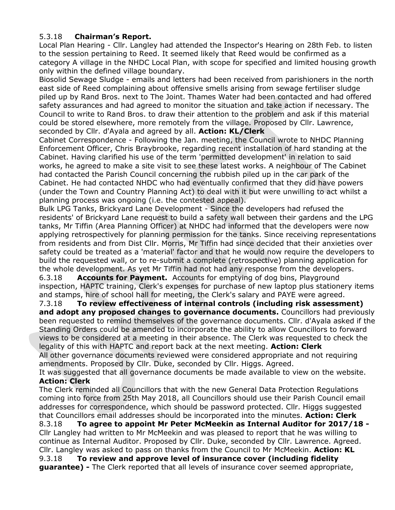#### 5.3.18 **Chairman's Report.**

Local Plan Hearing - Cllr. Langley had attended the Inspector's Hearing on 28th Feb. to listen to the session pertaining to Reed. It seemed likely that Reed would be confirmed as a category A village in the NHDC Local Plan, with scope for specified and limited housing growth only within the defined village boundary.

Biosolid Sewage Sludge - emails and letters had been received from parishioners in the north east side of Reed complaining about offensive smells arising from sewage fertiliser sludge piled up by Rand Bros. next to The Joint. Thames Water had been contacted and had offered safety assurances and had agreed to monitor the situation and take action if necessary. The Council to write to Rand Bros. to draw their attention to the problem and ask if this material could be stored elsewhere, more remotely from the village. Proposed by Cllr. Lawrence, seconded by Cllr. d'Ayala and agreed by all. **Action: KL/Clerk**

Cabinet Correspondence - Following the Jan. meeting, the Council wrote to NHDC Planning Enforcement Officer, Chris Braybrooke, regarding recent installation of hard standing at the Cabinet. Having clarified his use of the term 'permitted development' in relation to said works, he agreed to make a site visit to see these latest works. A neighbour of The Cabinet had contacted the Parish Council concerning the rubbish piled up in the car park of the Cabinet. He had contacted NHDC who had eventually confirmed that they did have powers (under the Town and Country Planning Act) to deal with it but were unwilling to act whilst a planning process was ongoing (i.e. the contested appeal).

Bulk LPG Tanks, Brickyard Lane Development - Since the developers had refused the residents' of Brickyard Lane request to build a safety wall between their gardens and the LPG tanks, Mr Tiffin (Area Planning Officer) at NHDC had informed that the developers were now applying retrospectively for planning permission for the tanks. Since receiving representations from residents and from Dist Cllr. Morris, Mr Tiffin had since decided that their anxieties over safety could be treated as a 'material' factor and that he would now require the developers to build the requested wall, or to re-submit a complete (retrospective) planning application for the whole development. As yet Mr Tiffin had not had any response from the developers.

6.3.18 **Accounts for Payment.** Accounts for emptying of dog bins, Playground inspection, HAPTC training, Clerk's expenses for purchase of new laptop plus stationery items and stamps, hire of school hall for meeting, the Clerk's salary and PAYE were agreed.

7.3.18 **To review effectiveness of internal controls (including risk assessment) and adopt any proposed changes to governance documents.** Councillors had previously been requested to remind themselves of the governance documents. Cllr. d'Ayala asked if the Standing Orders could be amended to incorporate the ability to allow Councillors to forward views to be considered at a meeting in their absence. The Clerk was requested to check the legality of this with HAPTC and report back at the next meeting. **Action: Clerk**

All other governance documents reviewed were considered appropriate and not requiring amendments. Proposed by Cllr. Duke, seconded by Cllr. Higgs. Agreed.

It was suggested that all governance documents be made available to view on the website. **Action: Clerk**

The Clerk reminded all Councillors that with the new General Data Protection Regulations coming into force from 25th May 2018, all Councillors should use their Parish Council email addresses for correspondence, which should be password protected. Cllr. Higgs suggested that Councillors email addresses should be incorporated into the minutes. **Action: Clerk** 8.3.18 **To agree to appoint Mr Peter McMeekin as Internal Auditor for 2017/18 -** Cllr Langley had written to Mr McMeekin and was pleased to report that he was willing to continue as Internal Auditor. Proposed by Cllr. Duke, seconded by Cllr. Lawrence. Agreed. Cllr. Langley was asked to pass on thanks from the Council to Mr McMeekin. **Action: KL** 9.3.18 **To review and approve level of insurance cover (including fidelity guarantee) -** The Clerk reported that all levels of insurance cover seemed appropriate,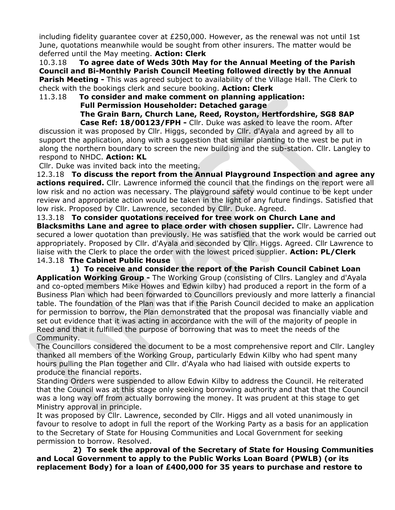including fidelity guarantee cover at  $£250,000$ . However, as the renewal was not until 1st June, quotations meanwhile would be sought from other insurers. The matter would be deferred until the May meeting. **Action: Clerk**

10.3.18 **To agree date of Weds 30th May for the Annual Meeting of the Parish Council and Bi-Monthly Parish Council Meeting followed directly by the Annual Parish Meeting -** This was agreed subject to availability of the Village Hall. The Clerk to check with the bookings clerk and secure booking. **Action: Clerk**

11.3.18 **To consider and make comment on planning application: Full Permission Householder: Detached garage The Grain Barn, Church Lane, Reed, Royston, Hertfordshire, SG8 8AP Case Ref: 18/00123/FPH -** Cllr. Duke was asked to leave the room. After

discussion it was proposed by Cllr. Higgs, seconded by Cllr. d'Ayala and agreed by all to support the application, along with a suggestion that similar planting to the west be put in along the northern boundary to screen the new building and the sub-station. Cllr. Langley to respond to NHDC. **Action: KL**

Cllr. Duke was invited back into the meeting.

12.3.18 **To discuss the report from the Annual Playground Inspection and agree any actions required.** Cllr. Lawrence informed the council that the findings on the report were all low risk and no action was necessary. The playground safety would continue to be kept under review and appropriate action would be taken in the light of any future findings. Satisfied that low risk. Proposed by Cllr. Lawrence, seconded by Cllr. Duke. Agreed.

13.3.18 **To consider quotations received for tree work on Church Lane and Blacksmiths Lane and agree to place order with chosen supplier.** Cllr. Lawrence had secured a lower quotation than previously. He was satisfied that the work would be carried out appropriately. Proposed by Cllr. d'Ayala and seconded by Cllr. Higgs. Agreed. Cllr Lawrence to liaise with the Clerk to place the order with the lowest priced supplier. **Action: PL/Clerk** 14.3.18 **The Cabinet Public House**

 **1) To receive and consider the report of the Parish Council Cabinet Loan Application Working Group -** The Working Group (consisting of Cllrs. Langley and d'Ayala and co-opted members Mike Howes and Edwin kilby) had produced a report in the form of a Business Plan which had been forwarded to Councillors previously and more latterly a financial table. The foundation of the Plan was that if the Parish Council decided to make an application for permission to borrow, the Plan demonstrated that the proposal was financially viable and set out evidence that it was acting in accordance with the will of the majority of people in Reed and that it fulfilled the purpose of borrowing that was to meet the needs of the Community.

The Councillors considered the document to be a most comprehensive report and Cllr. Langley thanked all members of the Working Group, particularly Edwin Kilby who had spent many hours pulling the Plan together and Cllr. d'Ayala who had liaised with outside experts to produce the financial reports.

Standing Orders were suspended to allow Edwin Kilby to address the Council. He reiterated that the Council was at this stage only seeking borrowing authority and that that the Council was a long way off from actually borrowing the money. It was prudent at this stage to get Ministry approval in principle.

It was proposed by Cllr. Lawrence, seconded by Cllr. Higgs and all voted unanimously in favour to resolve to adopt in full the report of the Working Party as a basis for an application to the Secretary of State for Housing Communities and Local Government for seeking permission to borrow. Resolved.

 **2) To seek the approval of the Secretary of State for Housing Communities and Local Government to apply to the Public Works Loan Board (PWLB) (or its replacement Body) for a loan of £400,000 for 35 years to purchase and restore to**